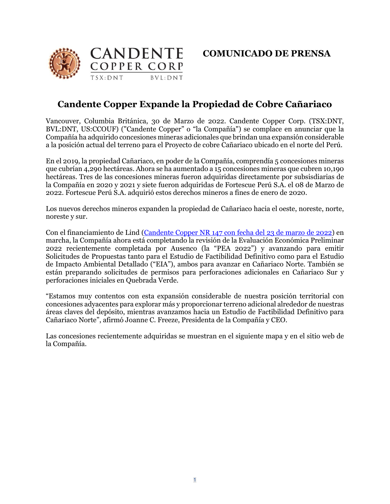



## **Candente Copper Expande la Propiedad de Cobre Cañariaco**

Vancouver, Columbia Británica, 30 de Marzo de 2022. Candente Copper Corp. (TSX:DNT, BVL:DNT, US:CCOUF) ("Candente Copper" o "la Compañía") se complace en anunciar que la Compañía ha adquirido concesiones mineras adicionales que brindan una expansión considerable a la posición actual del terreno para el Proyecto de cobre Cañariaco ubicado en el norte del Perú.

En el 2019, la propiedad Cañariaco, en poder de la Compañía, comprendía 5 concesiones mineras que cubrían 4,290 hectáreas. Ahora se ha aumentado a 15 concesiones mineras que cubren 10,190 hectáreas. Tres de las concesiones mineras fueron adquiridas directamente por subsisdiarias de la Compañía en 2020 y 2021 y siete fueron adquiridas de Fortescue Perú S.A. el 08 de Marzo de 2022. Fortescue Perú S.A. adquirió estos derechos mineros a fines de enero de 2020.

Los nuevos derechos mineros expanden la propiedad de Cañariaco hacia el oeste, noreste, norte, noreste y sur.

Con el financiamiento de Lind [\(Candente Copper NR 147 con fecha del 23 de marzo de](https://candentecopper.com/news-releases/news-releases/2022/candente-copper-agrees-to-terms-for-financing-of-up-to-10-million-to-advance-the-canariaco-copper-project/) 2022) en marcha, la Compañía ahora está completando la revisión de la Evaluación Económica Preliminar 2022 recientemente completada por Ausenco (la "PEA 2022") y avanzando para emitir Solicitudes de Propuestas tanto para el Estudio de Factibilidad Definitivo como para el Estudio de Impacto Ambiental Detallado ("EIA"), ambos para avanzar en Cañariaco Norte. También se están preparando solicitudes de permisos para perforaciones adicionales en Cañariaco Sur y perforaciones iniciales en Quebrada Verde.

"Estamos muy contentos con esta expansión considerable de nuestra posición territorial con concesiones adyacentes para explorar más y proporcionar terreno adicional alrededor de nuestras áreas claves del depósito, mientras avanzamos hacia un Estudio de Factibilidad Definitivo para Cañariaco Norte", afirmó Joanne C. Freeze, Presidenta de la Compañía y CEO.

Las concesiones recientemente adquiridas se muestran en el siguiente mapa y en el sitio web de la Compañía.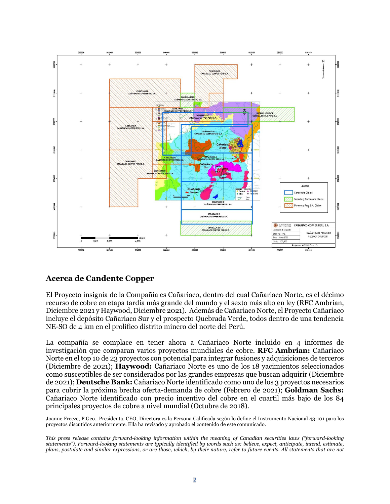

## **Acerca de Candente Copper**

El Proyecto insignia de la Compañía es Cañariaco, dentro del cual Cañariaco Norte, es el décimo recurso de cobre en etapa tardía más grande del mundo y el sexto más alto en ley (RFC Ambrian, Diciembre 2021 y Haywood, Diciembre 2021). Además de Cañariaco Norte, el Proyecto Cañariaco incluye el depósito Cañariaco Sur y el prospecto Quebrada Verde, todos dentro de una tendencia NE-SO de 4 km en el prolífico distrito minero del norte del Perú.

La compañía se complace en tener ahora a Cañariaco Norte incluido en 4 informes de investigación que comparan varios proyectos mundiales de cobre. **RFC Ambrian:** Cañariaco Norte en el top 10 de 23 proyectos con potencial para integrar fusiones y adquisiciones de terceros (Diciembre de 2021); **Haywood:** Cañariaco Norte es uno de los 18 yacimientos seleccionados como susceptibles de ser considerados por las grandes empresas que buscan adquirir (Diciembre de 2021); **Deutsche Bank:** Cañariaco Norte identificado como uno de los 3 proyectos necesarios para cubrir la próxima brecha oferta-demanda de cobre (Febrero de 2021); **Goldman Sachs:** Cañariaco Norte identificado con precio incentivo del cobre en el cuartil más bajo de los 84 principales proyectos de cobre a nivel mundial (Octubre de 2018).

Joanne Freeze, P.Geo., Presidenta, CEO, Directora es la Persona Calificada según lo define el Instrumento Nacional 43-101 para los proyectos discutidos anteriormente. Ella ha revisado y aprobado el contenido de este comunicado.

*This press release contains forward-looking information within the meaning of Canadian securities laws ("forward-looking statements"). Forward-looking statements are typically identified by words such as: believe, expect, anticipate, intend, estimate, plans, postulate and similar expressions, or are those, which, by their nature, refer to future events. All statements that are not*